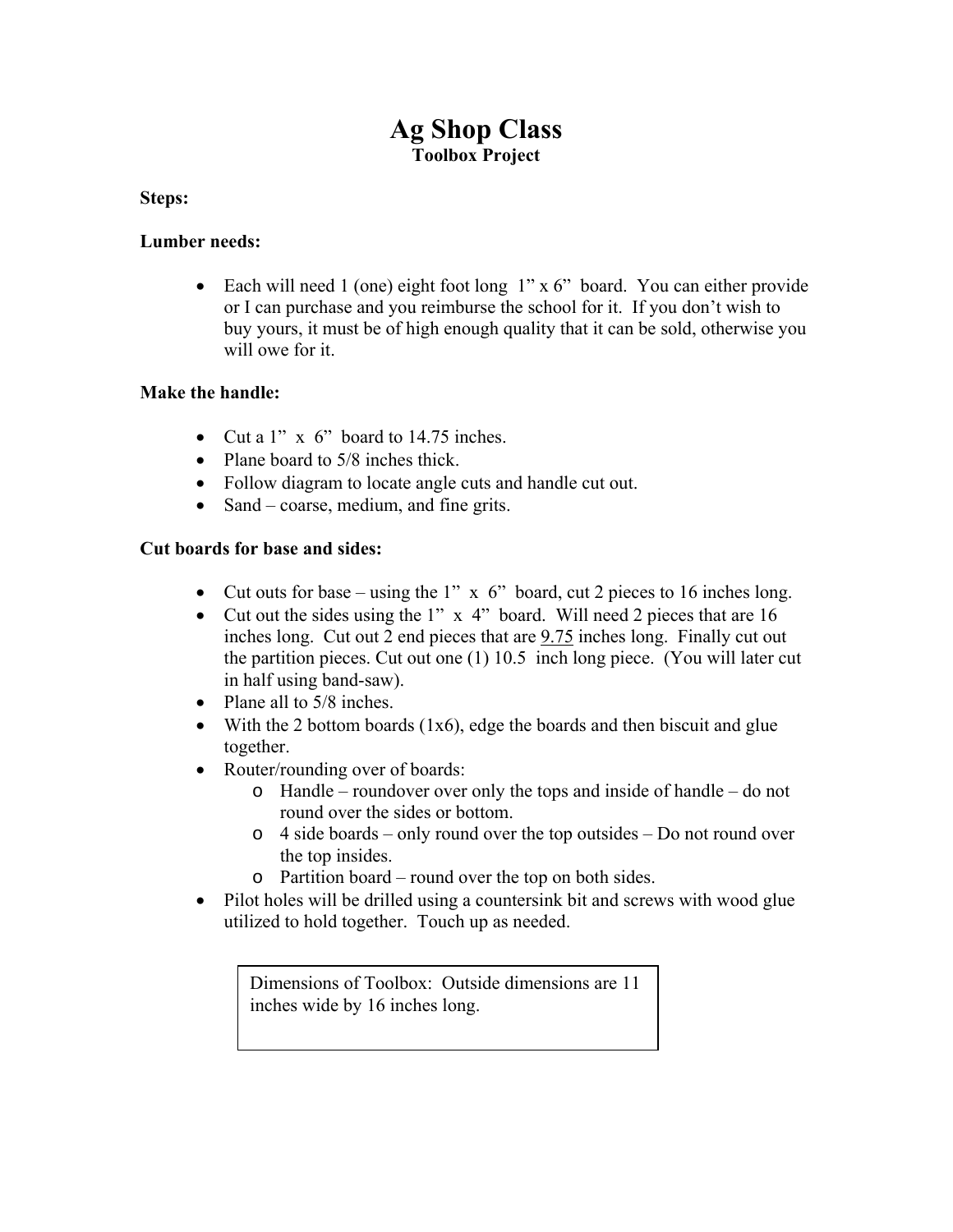# **Ag Shop Class Toolbox Project**

#### **Steps:**

#### **Lumber needs:**

• Each will need 1 (one) eight foot long 1" x 6" board. You can either provide or I can purchase and you reimburse the school for it. If you don't wish to buy yours, it must be of high enough quality that it can be sold, otherwise you will owe for it.

#### **Make the handle:**

- Cut a  $1''$  x 6" board to 14.75 inches.
- Plane board to 5/8 inches thick.
- Follow diagram to locate angle cuts and handle cut out.
- Sand coarse, medium, and fine grits.

### **Cut boards for base and sides:**

- Cut outs for base using the 1"  $\times$  6" board, cut 2 pieces to 16 inches long.
- Cut out the sides using the 1" x 4" board. Will need 2 pieces that are 16 inches long. Cut out 2 end pieces that are 9.75 inches long. Finally cut out the partition pieces. Cut out one (1) 10.5 inch long piece. (You will later cut in half using band-saw).
- Plane all to  $5/8$  inches.
- With the 2 bottom boards  $(1x6)$ , edge the boards and then biscuit and glue together.
- Router/rounding over of boards:
	- o Handle roundover over only the tops and inside of handle do not round over the sides or bottom.
	- o 4 side boards only round over the top outsides Do not round over the top insides.
	- o Partition board round over the top on both sides.
- Pilot holes will be drilled using a countersink bit and screws with wood glue utilized to hold together. Touch up as needed.

Dimensions of Toolbox: Outside dimensions are 11 inches wide by 16 inches long.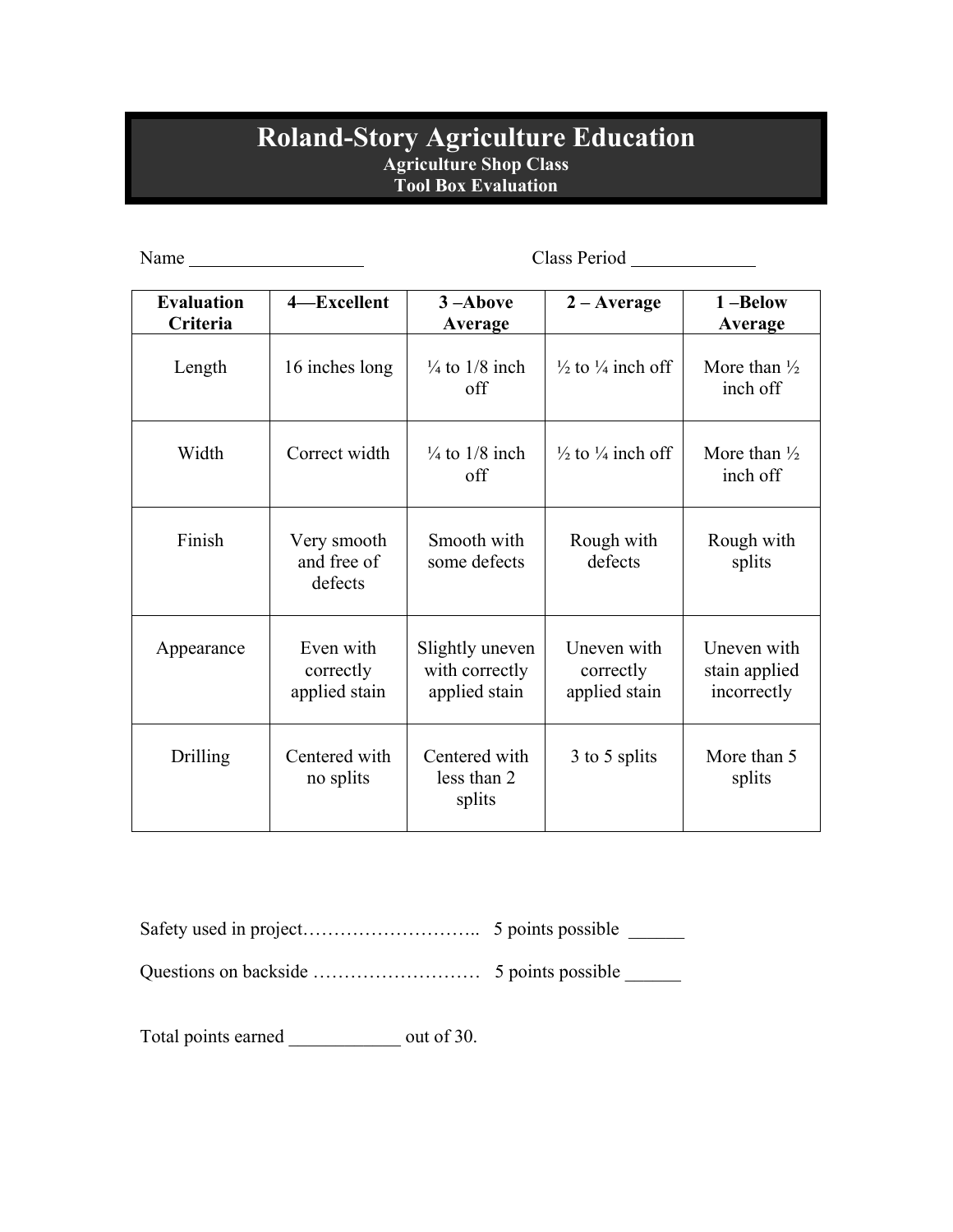## **Roland-Story Agriculture Education Agriculture Shop Class Tool Box Evaluation**

| Name                          |                                         |                                                    |                                           |                                             |
|-------------------------------|-----------------------------------------|----------------------------------------------------|-------------------------------------------|---------------------------------------------|
| <b>Evaluation</b><br>Criteria | 4-Excellent                             | $3 -$ Above<br>Average                             | $2 - Average$                             | 1-Below<br>Average                          |
| Length                        | 16 inches long                          | $\frac{1}{4}$ to 1/8 inch<br>off                   | $\frac{1}{2}$ to $\frac{1}{4}$ inch off   | More than $\frac{1}{2}$<br>inch off         |
| Width                         | Correct width                           | $\frac{1}{4}$ to 1/8 inch<br>off                   | $\frac{1}{2}$ to $\frac{1}{4}$ inch off   | More than $\frac{1}{2}$<br>inch off         |
| Finish                        | Very smooth<br>and free of<br>defects   | Smooth with<br>some defects                        | Rough with<br>defects                     | Rough with<br>splits                        |
| Appearance                    | Even with<br>correctly<br>applied stain | Slightly uneven<br>with correctly<br>applied stain | Uneven with<br>correctly<br>applied stain | Uneven with<br>stain applied<br>incorrectly |
| Drilling                      | Centered with<br>no splits              | Centered with<br>less than 2<br>splits             | 3 to 5 splits                             | More than 5<br>splits                       |

Safety used in project……………………….. 5 points possible \_\_\_\_\_\_

Questions on backside ……………………… 5 points possible \_\_\_\_\_\_

Total points earned \_\_\_\_\_\_\_\_\_\_\_\_ out of 30.